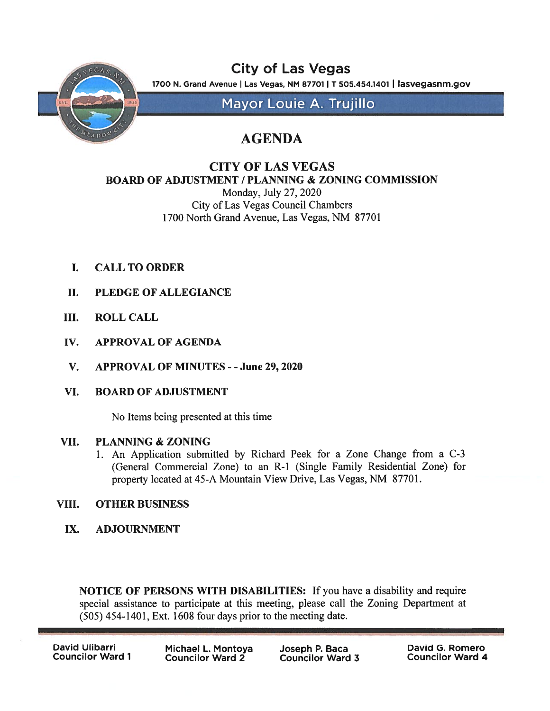

City of Las Vegas 1700 N. Grand Avenue | Las Vegas, NM 87701 | T 505.454.1401 | lasvegasnm.gov

Mayor Louie A. Trujillo

## AGENDA

## CITY OF LAS VEGAS BOARD OF ADJUSTMENT / PLANNING & ZONING COMMISSION

Monday, July 27, 2020 City of Las Vegas Council Chambers 1700 North Grand Avenue, Las Vegas, NM 87701

- I. CALL TO ORDER
- II. PLEDGE OF ALLEGIANCE
- III. ROLL CALL
- IV. APPROVAL OF AGENDA
- V. APPROVAL OF MINUTES -June 29, 2020
- VI. BOARD OF ADJUSTMENT

No Items being presented at this time

## VII. PLANNING & ZONING

1. An Application submitted by Richard Peek for <sup>a</sup> Zone Change from <sup>a</sup> C-3 (General Commercial Zone) to an R-1 (Single Family Residential Zone) for property located at 45-A Mountain View Drive, Las Vegas, NM 87701.

## VIII. OTHER BUSINESS

IX. ADJOURNMENT

NOTICE OF PERSONS WITH DISABILITIES: If you have <sup>a</sup> disability and require special assistance to participate at this meeting, please call the Zoning Department at (505) 454-1401, Ext. 1608 four days prior to the meeting date.

David Ulibarri Councilor Ward 1 Michael L. Montoya Joseph P. Baca Councilor Ward  $2<sup>7</sup>$ 

David G. Romero Councilor Ward 4